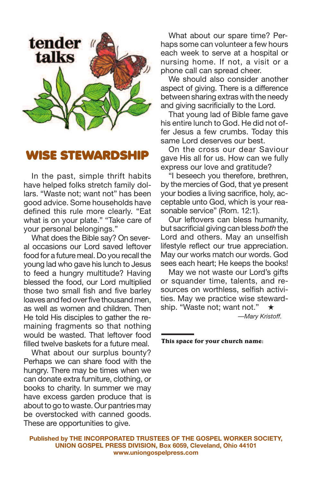

### **WISE STEWARDSHIP**

In the past, simple thrift habits have helped folks stretch family dollars. "Waste not; want not" has been good advice. Some households have defined this rule more clearly. "Eat what is on your plate." "Take care of your personal belongings."

What does the Bible say? On several occasions our Lord saved leftover food for a future meal. Do you recall the young lad who gave his lunch to Jesus to feed a hungry multitude? Having blessed the food, our Lord multiplied those two small fish and five barley loaves and fed over five thousand men, as well as women and children. Then He told His disciples to gather the remaining fragments so that nothing would be wasted. That leftover food filled twelve baskets for a future meal.

What about our surplus bounty? Perhaps we can share food with the hungry. There may be times when we can donate extra furniture, clothing, or books to charity. In summer we may have excess garden produce that is about to go to waste. Our pantries may be overstocked with canned goods. These are opportunities to give.

What about our spare time? Perhaps some can volunteer a few hours each week to serve at a hospital or nursing home. If not, a visit or a phone call can spread cheer.

We should also consider another aspect of giving. There is a difference between sharing extras with the needy and giving sacrificially to the Lord.

That young lad of Bible fame gave his entire lunch to God. He did not offer Jesus a few crumbs. Today this same Lord deserves our best.

On the cross our dear Saviour gave His all for us. How can we fully express our love and gratitude?

"I beseech you therefore, brethren, by the mercies of God, that ye present your bodies a living sacrifice, holy, acceptable unto God, which is your reasonable service" (Rom. 12:1).

Our leftovers can bless humanity, but sacrificial giving can bless *both* the Lord and others. May an unselfish lifestyle reflect our true appreciation. May our works match our words. God sees each heart; He keeps the books!

May we not waste our Lord's gifts or squander time, talents, and resources on worthless, selfish activities. May we practice wise stewardship. "Waste not; want not." **★**

*—Mary Kristoff.*

**This space for your church name:**

**Published by THE INCORPORATED TRUSTEES OF THE GOSPEL WORKER SOCIETY, UNION GOSPEL PRESS DIVISION, Box 6059, Cleveland, Ohio 44101 www.uniongospelpress.com**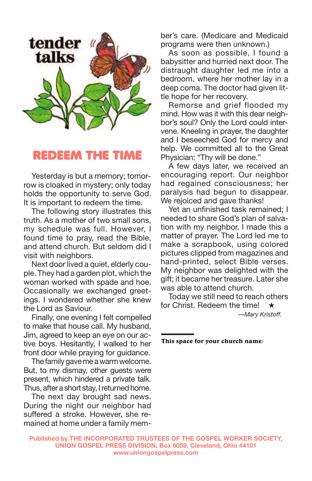

#### **REDEEM THE TIME**

Yesterday is but a memory; tomorrow is cloaked in mystery; only today holds the opportunity to serve God. It is important to redeem the time.

The following story illustrates this truth. As a mother of two small sons, my schedule was full. However, I found time to pray, read the Bible, and attend church. But seldom did I visit with neighbors.

Next door lived a quiet, elderly couple. They had a garden plot, which the woman worked with spade and hoe. Occasionally we exchanged greetings. I wondered whether she knew the Lord as Saviour.

Finally, one evening I felt compelled to make that house call. My husband, Jim, agreed to keep an eye on our active boys. Hesitantly, I walked to her front door while praying for guidance.

The family gave me a warm welcome. But, to my dismay, other guests were present, which hindered a private talk. Thus, after a short stay, I returned home.

The next day brought sad news. During the night our neighbor had suffered a stroke. However, she remained at home under a family member's care. (Medicare and Medicaid programs were then unknown.)

As soon as possible, I found a babysitter and hurried next door. The distraught daughter led me into a bedroom, where her mother lay in a deep coma. The doctor had given little hope for her recovery.

Remorse and grief flooded my mind. How was it with this dear neighbor's soul? Only the Lord could intervene. Kneeling in prayer, the daughter and I beseeched God for mercy and help. We committed all to the Great Physician: "Thy will be done."

A few days later, we received an encouraging report. Our neighbor had regained consciousness; her paralysis had begun to disappear. We rejoiced and gave thanks!

Yet an unfinished task remained; I needed to share God's plan of salvation with my neighbor. I made this a matter of prayer. The Lord led me to make a scrapbook, using colored pictures clipped from magazines and hand-printed, select Bible verses. My neighbor was delighted with the gift; it became her treasure. Later she was able to attend church.

Today we still need to reach others for Christ. Redeem the time! **★** *—Mary Kristoff.*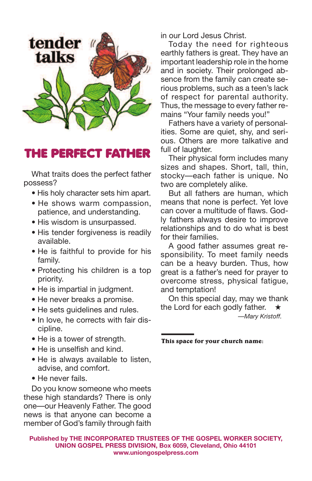

## **THE PERFECT FATHER**

What traits does the perfect father possess?

- His holy character sets him apart.
- He shows warm compassion, patience, and understanding.
- His wisdom is unsurpassed.
- His tender forgiveness is readily available.
- He is faithful to provide for his family.
- Protecting his children is a top priority.
- He is impartial in judgment.
- He never breaks a promise.
- He sets guidelines and rules.
- In love, he corrects with fair discipline.
- He is a tower of strength.
- He is unselfish and kind.
- He is always available to listen, advise, and comfort.
- He never fails.

Do you know someone who meets these high standards? There is only one—our Heavenly Father. The good news is that anyone can become a member of God's family through faith in our Lord Jesus Christ.

Today the need for righteous earthly fathers is great. They have an important leadership role in the home and in society. Their prolonged absence from the family can create serious problems, such as a teen's lack of respect for parental authority. Thus, the message to every father remains "Your family needs you!"

Fathers have a variety of personalities. Some are quiet, shy, and serious. Others are more talkative and full of laughter.

Their physical form includes many sizes and shapes. Short, tall, thin, stocky—each father is unique. No two are completely alike.

But all fathers are human, which means that none is perfect. Yet love can cover a multitude of flaws. Godly fathers always desire to improve relationships and to do what is best for their families.

A good father assumes great responsibility. To meet family needs can be a heavy burden. Thus, how great is a father's need for prayer to overcome stress, physical fatigue, and temptation!

On this special day, may we thank the Lord for each godly father. **★**

*—Mary Kristoff.*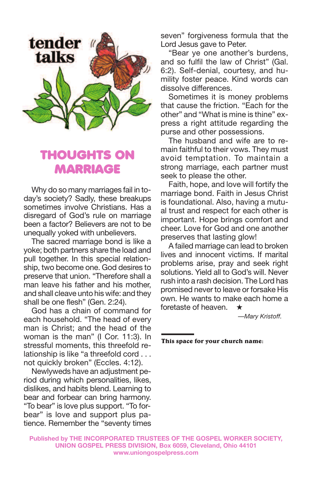

# **THOUGHTS ON MARRIAGE**

Why do so many marriages fail in today's society? Sadly, these breakups sometimes involve Christians. Has a disregard of God's rule on marriage been a factor? Believers are not to be unequally yoked with unbelievers.

The sacred marriage bond is like a yoke; both partners share the load and pull together. In this special relationship, two become one. God desires to preserve that union. "Therefore shall a man leave his father and his mother, and shall cleave unto his wife: and they shall be one flesh" (Gen. 2:24).

God has a chain of command for each household. "The head of every man is Christ; and the head of the woman is the man" (I Cor. 11:3). In stressful moments, this threefold relationship is like "a threefold cord . . . not quickly broken" (Eccles. 4:12).

Newlyweds have an adjustment period during which personalities, likes, dislikes, and habits blend. Learning to bear and forbear can bring harmony. "To bear" is love plus support. "To forbear" is love and support plus patience. Remember the "seventy times seven" forgiveness formula that the Lord Jesus gave to Peter.

"Bear ye one another's burdens, and so fulfil the law of Christ" (Gal. 6:2). Self-denial, courtesy, and humility foster peace. Kind words can dissolve differences.

Sometimes it is money problems that cause the friction. "Each for the other" and "What is mine is thine" express a right attitude regarding the purse and other possessions.

The husband and wife are to remain faithful to their vows. They must avoid temptation. To maintain a strong marriage, each partner must seek to please the other.

Faith, hope, and love will fortify the marriage bond. Faith in Jesus Christ is foundational. Also, having a mutual trust and respect for each other is important. Hope brings comfort and cheer. Love for God and one another preserves that lasting glow!

A failed marriage can lead to broken lives and innocent victims. If marital problems arise, pray and seek right solutions. Yield all to God's will. Never rush into a rash decision. The Lord has promised never to leave or forsake His own. He wants to make each home a foretaste of heaven. **★**

*—Mary Kristoff.*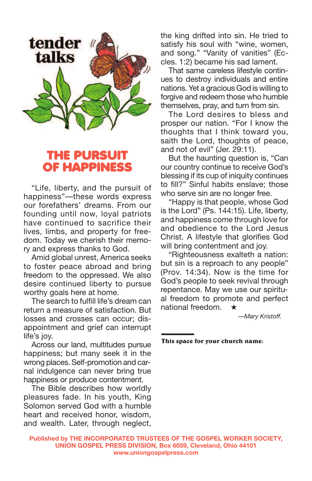

## **THE PURSU OF HAPPINES**

"Life, liberty, and the pursuit of happiness"—these words express our forefathers' dreams. From our founding until now, loyal patriots have continued to sacrifice their lives, limbs, and property for freedom. Today we cherish their memory and express thanks to God.

Amid global unrest, America seeks to foster peace abroad and bring freedom to the oppressed. We also desire continued liberty to pursue worthy goals here at home.

The search to fulfill life's dream can return a measure of satisfaction. But losses and crosses can occur; disappointment and grief can interrupt life's joy.

Across our land, multitudes pursue happiness; but many seek it in the wrong places. Self-promotion and carnal indulgence can never bring true happiness or produce contentment.

The Bible describes how worldly pleasures fade. In his youth, King Solomon served God with a humble heart and received honor, wisdom, and wealth. Later, through neglect,

the king drifted into sin. He tried to satisfy his soul with "wine, women, and song." "Vanity of vanities" (Eccles. 1:2) became his sad lament.

That same careless lifestyle continues to destroy individuals and entire nations. Yet a gracious God is willing to forgive and redeem those who humble themselves, pray, and turn from sin.

The Lord desires to bless and prosper our nation. "For I know the thoughts that I think toward you, saith the Lord, thoughts of peace, and not of evil" (Jer. 29:11).

But the haunting question is, "Can our country continue to receive God's blessing if its cup of iniquity continues to fill?" Sinful habits enslave; those who serve sin are no longer free.

"Happy is that people, whose God is the Lord" (Ps. 144:15). Life, liberty, and happiness come through love for and obedience to the Lord Jesus Christ. A lifestyle that glorifies God will bring contentment and joy.

"Righteousness exalteth a nation: but sin is a reproach to any people" (Prov. 14:34). Now is the time for God's people to seek revival through repentance. May we use our spiritual freedom to promote and perfect national freedom. **★**

*—Mary Kristoff.*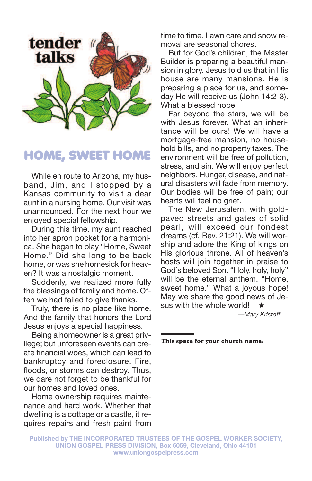

## **HOME, SWEET HOME**

While en route to Arizona, my husband, Jim, and I stopped by a Kansas community to visit a dear aunt in a nursing home. Our visit was unannounced. For the next hour we enjoyed special fellowship.

During this time, my aunt reached into her apron pocket for a harmonica. She began to play "Home, Sweet Home." Did she long to be back home, or was she homesick for heaven? It was a nostalgic moment.

Suddenly, we realized more fully the blessings of family and home. Often we had failed to give thanks.

Truly, there is no place like home. And the family that honors the Lord Jesus enjoys a special happiness.

Being a homeowner is a great privilege; but unforeseen events can create financial woes, which can lead to bankruptcy and foreclosure. Fire, floods, or storms can destroy. Thus, we dare not forget to be thankful for our homes and loved ones.

Home ownership requires maintenance and hard work. Whether that dwelling is a cottage or a castle, it requires repairs and fresh paint from time to time. Lawn care and snow removal are seasonal chores.

But for God's children, the Master Builder is preparing a beautiful mansion in glory. Jesus told us that in His house are many mansions. He is preparing a place for us, and someday He will receive us (John 14:2-3). What a blessed hope!

Far beyond the stars, we will be with Jesus forever. What an inheritance will be ours! We will have a mortgage-free mansion, no household bills, and no property taxes. The environment will be free of pollution, stress, and sin. We will enjoy perfect neighbors. Hunger, disease, and natural disasters will fade from memory. Our bodies will be free of pain; our hearts will feel no grief.

The New Jerusalem, with goldpaved streets and gates of solid pearl, will exceed our fondest dreams (cf. Rev. 21:21). We will worship and adore the King of kings on His glorious throne. All of heaven's hosts will join together in praise to God's beloved Son. "Holy, holy, holy" will be the eternal anthem. "Home, sweet home." What a joyous hope! May we share the good news of Jesus with the whole world! **★**

*—Mary Kristoff.*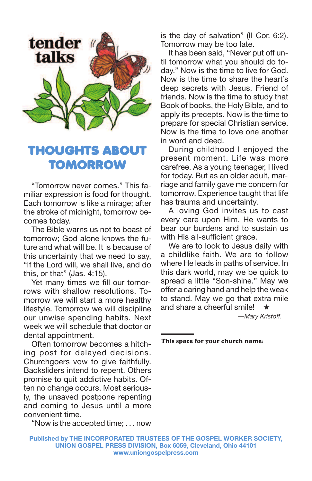

# **THOUGHTS ABOUT TOMORROW**

"Tomorrow never comes." This familiar expression is food for thought. Each tomorrow is like a mirage; after the stroke of midnight, tomorrow becomes today.

The Bible warns us not to boast of tomorrow; God alone knows the future and what will be. It is because of this uncertainty that we need to say, "If the Lord will, we shall live, and do this, or that" (Jas. 4:15).

Yet many times we fill our tomorrows with shallow resolutions. Tomorrow we will start a more healthy lifestyle. Tomorrow we will discipline our unwise spending habits. Next week we will schedule that doctor or dental appointment.

Often tomorrow becomes a hitching post for delayed decisions. Churchgoers vow to give faithfully. Backsliders intend to repent. Others promise to quit addictive habits. Often no change occurs. Most seriously, the unsaved postpone repenting and coming to Jesus until a more convenient time.

"Now is the accepted time; . . . now

is the day of salvation" (II Cor. 6:2). Tomorrow may be too late.

It has been said, "Never put off until tomorrow what you should do today." Now is the time to live for God. Now is the time to share the heart's deep secrets with Jesus, Friend of friends. Now is the time to study that Book of books, the Holy Bible, and to apply its precepts. Now is the time to prepare for special Christian service. Now is the time to love one another in word and deed.

During childhood I enjoyed the present moment. Life was more carefree. As a young teenager, I lived for today. But as an older adult, marriage and family gave me concern for tomorrow. Experience taught that life has trauma and uncertainty.

A loving God invites us to cast every care upon Him. He wants to bear our burdens and to sustain us with His all-sufficient grace.

We are to look to Jesus daily with a childlike faith. We are to follow where He leads in paths of service. In this dark world, may we be quick to spread a little "Son-shine." May we offer a caring hand and help the weak to stand. May we go that extra mile and share a cheerful smile! **★**

*—Mary Kristoff.*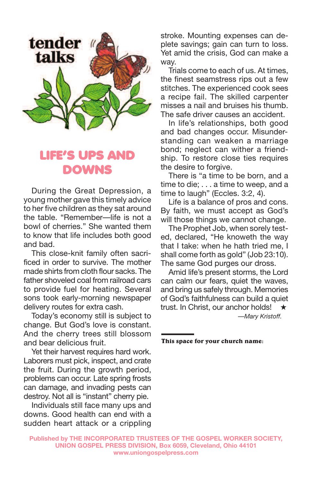

# **LIFE'S UPS AND DOWNS**

During the Great Depression, a young mother gave this timely advice to her five children as they sat around the table. "Remember—life is not a bowl of cherries." She wanted them to know that life includes both good and bad.

This close-knit family often sacrificed in order to survive. The mother made shirts from cloth flour sacks. The father shoveled coal from railroad cars to provide fuel for heating. Several sons took early-morning newspaper delivery routes for extra cash.

Today's economy still is subject to change. But God's love is constant. And the cherry trees still blossom and bear delicious fruit.

Yet their harvest requires hard work. Laborers must pick, inspect, and crate the fruit. During the growth period, problems can occur. Late spring frosts can damage, and invading pests can destroy. Not all is "instant" cherry pie.

Individuals still face many ups and downs. Good health can end with a sudden heart attack or a crippling stroke. Mounting expenses can deplete savings; gain can turn to loss. Yet amid the crisis, God can make a way.

Trials come to each of us. At times, the finest seamstress rips out a few stitches. The experienced cook sees a recipe fail. The skilled carpenter misses a nail and bruises his thumb. The safe driver causes an accident.

In life's relationships, both good and bad changes occur. Misunderstanding can weaken a marriage bond; neglect can wither a friendship. To restore close ties requires the desire to forgive.

There is "a time to be born, and a time to die; . . . a time to weep, and a time to laugh" (Eccles. 3:2, 4).

Life is a balance of pros and cons. By faith, we must accept as God's will those things we cannot change.

The Prophet Job, when sorely tested, declared, "He knoweth the way that I take: when he hath tried me, I shall come forth as gold" (Job 23:10). The same God purges our dross.

Amid life's present storms, the Lord can calm our fears, quiet the waves, and bring us safely through. Memories of God's faithfulness can build a quiet trust. In Christ, our anchor holds! **★** *—Mary Kristoff.*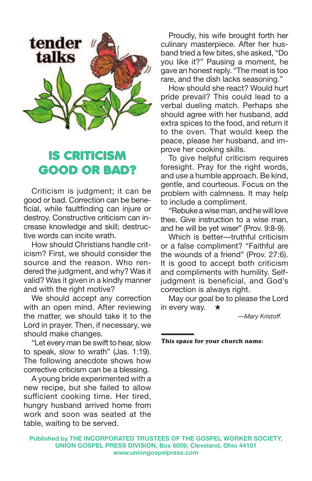

# **IS CRITICISM GOOD OR BAD?**

Criticism is judgment; it can be good or bad. Correction can be beneficial, while faultfinding can injure or destroy. Constructive criticism can increase knowledge and skill; destructive words can incite wrath.

How should Christians handle criticism? First, we should consider the source and the reason. Who rendered the judgment, and why? Was it valid? Was it given in a kindly manner and with the right motive?

We should accept any correction with an open mind. After reviewing the matter, we should take it to the Lord in prayer. Then, if necessary, we should make changes.

"Let every man be swift to hear, slow to speak, slow to wrath" (Jas. 1:19). The following anecdote shows how corrective criticism can be a blessing.

A young bride experimented with a new recipe, but she failed to allow sufficient cooking time. Her tired, hungry husband arrived home from work and soon was seated at the table, waiting to be served.

Proudly, his wife brought forth her culinary masterpiece. After her husband tried a few bites, she asked, "Do you like it?" Pausing a moment, he gave an honest reply. "The meat is too rare, and the dish lacks seasoning."

How should she react? Would hurt pride prevail? This could lead to a verbal dueling match. Perhaps she should agree with her husband, add extra spices to the food, and return it to the oven. That would keep the peace, please her husband, and improve her cooking skills.

To give helpful criticism requires foresight. Pray for the right words, and use a humble approach. Be kind, gentle, and courteous. Focus on the problem with calmness. It may help to include a compliment.

"Rebuke a wise man, and he will love thee. Give instruction to a wise man, and he will be yet wiser" (Prov. 9:8-9).

Which is better—truthful criticism or a false compliment? "Faithful are the wounds of a friend" (Prov. 27:6). It is good to accept both criticism and compliments with humility. Selfjudgment is beneficial, and God's correction is always right.

May our goal be to please the Lord in every way. **★**

*—Mary Kristoff.*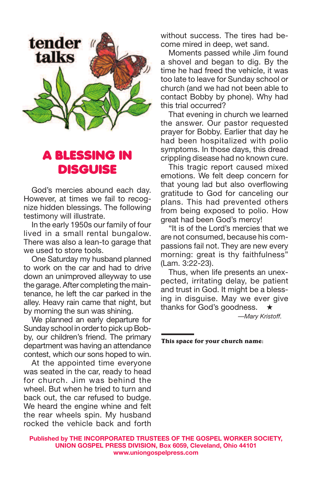

# **A BLESSING IN DISGUISE**

God's mercies abound each day. However, at times we fail to recognize hidden blessings. The following testimony will illustrate.

In the early 1950s our family of four lived in a small rental bungalow. There was also a lean-to garage that we used to store tools.

One Saturday my husband planned to work on the car and had to drive down an unimproved alleyway to use the garage. After completing the maintenance, he left the car parked in the alley. Heavy rain came that night, but by morning the sun was shining.

We planned an early departure for Sunday school in order to pick up Bobby, our children's friend. The primary department was having an attendance contest, which our sons hoped to win.

At the appointed time everyone was seated in the car, ready to head for church. Jim was behind the wheel. But when he tried to turn and back out, the car refused to budge. We heard the engine whine and felt the rear wheels spin. My husband rocked the vehicle back and forth

without success. The tires had become mired in deep, wet sand.

Moments passed while Jim found a shovel and began to dig. By the time he had freed the vehicle, it was too late to leave for Sunday school or church (and we had not been able to contact Bobby by phone). Why had this trial occurred?

That evening in church we learned the answer. Our pastor requested prayer for Bobby. Earlier that day he had been hospitalized with polio symptoms. In those days, this dread crippling disease had no known cure.

This tragic report caused mixed emotions. We felt deep concern for that young lad but also overflowing gratitude to God for canceling our plans. This had prevented others from being exposed to polio. How great had been God's mercy!

"It is of the Lord's mercies that we are not consumed, because his compassions fail not. They are new every morning: great is thy faithfulness" (Lam. 3:22-23).

Thus, when life presents an unexpected, irritating delay, be patient and trust in God. It might be a blessing in disguise. May we ever give thanks for God's goodness. **★**

*—Mary Kristoff.*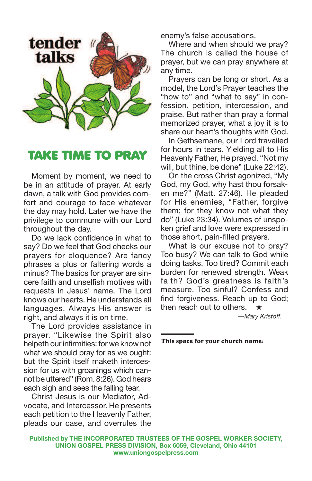

## **TAKE TIME TO PRAY**

Moment by moment, we need to be in an attitude of prayer. At early dawn, a talk with God provides comfort and courage to face whatever the day may hold. Later we have the privilege to commune with our Lord throughout the day.

Do we lack confidence in what to say? Do we feel that God checks our prayers for eloquence? Are fancy phrases a plus or faltering words a minus? The basics for prayer are sincere faith and unselfish motives with requests in Jesus' name. The Lord knows our hearts. He understands all languages. Always His answer is right, and always it is on time.

The Lord provides assistance in prayer. "Likewise the Spirit also helpeth our infirmities: for we know not what we should pray for as we ought: but the Spirit itself maketh intercession for us with groanings which cannot be uttered" (Rom. 8:26). God hears each sigh and sees the falling tear.

Christ Jesus is our Mediator, Advocate, and Intercessor. He presents each petition to the Heavenly Father, pleads our case, and overrules the enemy's false accusations.

Where and when should we pray? The church is called the house of prayer, but we can pray anywhere at any time.

Prayers can be long or short. As a model, the Lord's Prayer teaches the "how to" and "what to say" in confession, petition, intercession, and praise. But rather than pray a formal memorized prayer, what a joy it is to share our heart's thoughts with God.

In Gethsemane, our Lord travailed for hours in tears. Yielding all to His Heavenly Father, He prayed, "Not my will, but thine, be done" (Luke 22:42).

On the cross Christ agonized, "My God, my God, why hast thou forsaken me?" (Matt. 27:46). He pleaded for His enemies, "Father, forgive them; for they know not what they do" (Luke 23:34). Volumes of unspoken grief and love were expressed in those short, pain-filled prayers.

What is our excuse not to pray? Too busy? We can talk to God while doing tasks. Too tired? Commit each burden for renewed strength. Weak faith? God's greatness is faith's measure. Too sinful? Confess and find forgiveness. Reach up to God; then reach out to others. **★**

*—Mary Kristoff.*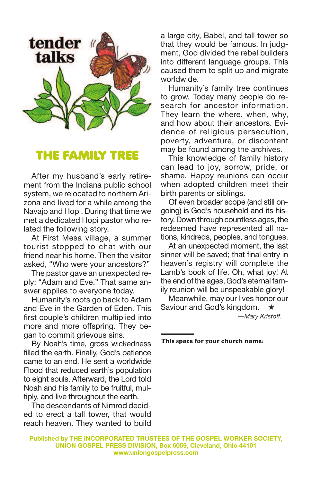

### **THE FAMILY TREE**

After my husband's early retirement from the Indiana public school system, we relocated to northern Arizona and lived for a while among the Navajo and Hopi. During that time we met a dedicated Hopi pastor who related the following story.

At First Mesa village, a summer tourist stopped to chat with our friend near his home. Then the visitor asked, "Who were your ancestors?"

The pastor gave an unexpected reply: "Adam and Eve." That same answer applies to everyone today.

Humanity's roots go back to Adam and Eve in the Garden of Eden. This first couple's children multiplied into more and more offspring. They began to commit grievous sins.

By Noah's time, gross wickedness filled the earth. Finally, God's patience came to an end. He sent a worldwide Flood that reduced earth's population to eight souls. Afterward, the Lord told Noah and his family to be fruitful, multiply, and live throughout the earth.

The descendants of Nimrod decided to erect a tall tower, that would reach heaven. They wanted to build a large city, Babel, and tall tower so that they would be famous. In judgment, God divided the rebel builders into different language groups. This caused them to split up and migrate worldwide.

Humanity's family tree continues to grow. Today many people do research for ancestor information. They learn the where, when, why, and how about their ancestors. Evidence of religious persecution, poverty, adventure, or discontent may be found among the archives.

This knowledge of family history can lead to joy, sorrow, pride, or shame. Happy reunions can occur when adopted children meet their birth parents or siblings.

Of even broader scope (and still ongoing) is God's household and its history. Down through countless ages, the redeemed have represented all nations, kindreds, peoples, and tongues.

At an unexpected moment, the last sinner will be saved; that final entry in heaven's registry will complete the Lamb's book of life. Oh, what joy! At the end of the ages, God's eternal family reunion will be unspeakable glory!

Meanwhile, may our lives honor our Saviour and God's kingdom. **★** *—Mary Kristoff.*